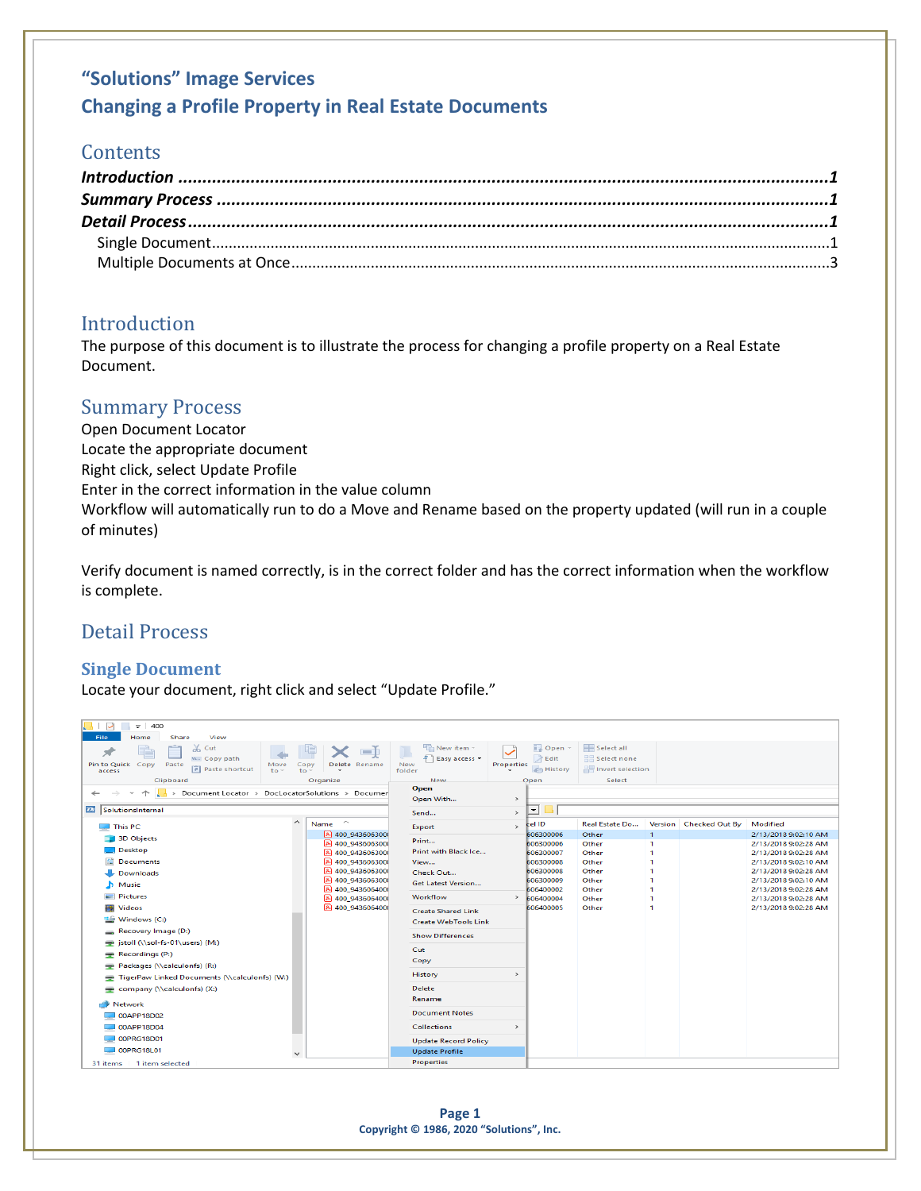# **"Solutions" Image Services Changing a Profile Property in Real Estate Documents**

## **Contents**

## <span id="page-0-0"></span>Introduction

The purpose of this document is to illustrate the process for changing a profile property on a Real Estate Document.

## <span id="page-0-1"></span>Summary Process

Open Document Locator Locate the appropriate document Right click, select Update Profile Enter in the correct information in the value column Workflow will automatically run to do a Move and Rename based on the property updated (will run in a couple of minutes)

Verify document is named correctly, is in the correct folder and has the correct information when the workflow is complete.

## <span id="page-0-2"></span>Detail Process

### <span id="page-0-3"></span>**Single Document**

Locate your document, right click and select "Update Profile."

| $\sim$<br>$\equiv$   400                                 |                                      |                             |                   |                        |                           |              |                        |                                              |
|----------------------------------------------------------|--------------------------------------|-----------------------------|-------------------|------------------------|---------------------------|--------------|------------------------|----------------------------------------------|
| Home<br>Share<br>View<br>File                            |                                      |                             |                   |                        |                           |              |                        |                                              |
| $\chi$ Cut                                               | <b>In</b>                            | New item -                  |                   | <b>Dopen</b> -         | Select all                |              |                        |                                              |
| <b>W</b> Copy path<br>Pin to Quick Copy                  |                                      | F Easy access *<br>New      | <b>Properties</b> | R Edit                 | 음음 Select none            |              |                        |                                              |
| Paste<br>Move<br><b>Paste shortcut</b><br>to -<br>access | Delete Rename<br>Copy<br>$to -$      | folder                      |                   | <b>B</b> History       | <b>A</b> Invert selection |              |                        |                                              |
| Clipboard                                                | Organize                             | New                         |                   | Open                   | <b>Select</b>             |              |                        |                                              |
| Document Locator > DocLocatorSolutions > Documer<br>$\,$ |                                      | Open                        |                   |                        |                           |              |                        |                                              |
|                                                          |                                      | Open With                   | $\rightarrow$     |                        |                           |              |                        |                                              |
| 24 SolutionsInternal                                     |                                      | Send                        | $\rightarrow$     | $\mathbf{r}$           |                           |              |                        |                                              |
| $\hat{\phantom{a}}$<br>$\Box$ This PC                    | $\widehat{\phantom{a}}$<br>Name      | Export                      | $\rightarrow$     | cel ID                 | Real Estate Do            |              | Version Checked Out By | Modified                                     |
| 3D Objects                                               | A 400 943606300                      | Print                       |                   | 606300006              | Other                     | $\mathbf{I}$ |                        | 2/13/2018 9:02:10 AM                         |
| $\Box$ Desktop                                           | A 400 9436063000                     | Print with Black Ice        |                   | 606300006              | Other                     |              |                        | 2/13/2018 9:02:28 AM                         |
|                                                          | A 400 9436063000                     |                             |                   | 606300007              | Other                     |              |                        | 2/13/2018 9:02:28 AM                         |
| <b>Documents</b>                                         | A 400 9436063000<br>A 400 9436063000 | View                        |                   | 606300008              | Other                     |              |                        | 2/13/2018 9:02:10 AM                         |
| Downloads                                                | A 400 9436063000                     | Check Out                   |                   | 606300008<br>606300009 | Other<br>Other            |              |                        | 2/13/2018 9:02:28 AM<br>2/13/2018 9:02:10 AM |
| Music                                                    | 400_9436064000                       | <b>Get Latest Version</b>   |                   | 606400002              | Other                     |              |                        | 2/13/2018 9:02:28 AM                         |
| $=$ Pictures                                             | A 400 9436064000                     | Workflow                    |                   | $\frac{1}{606400004}$  | Other                     |              |                        | 2/13/2018 9:02:28 AM                         |
| <b>Wideos</b>                                            | A 400 9436064000                     | <b>Create Shared Link</b>   |                   | 606400005              | Other                     |              |                        | 2/13/2018 9:02:28 AM                         |
| $\frac{12.6}{12.6}$ Windows (C:)                         |                                      | <b>Create WebTools Link</b> |                   |                        |                           |              |                        |                                              |
| Recovery Image (D:)                                      |                                      | <b>Show Differences</b>     |                   |                        |                           |              |                        |                                              |
| istoll (\\sol-fs-01\users) (M:)                          |                                      |                             |                   |                        |                           |              |                        |                                              |
| $\Rightarrow$ Recordings (P:)                            |                                      | Cut                         |                   |                        |                           |              |                        |                                              |
| $\rightarrow$ Packages (\\calculonfs) (R:)               |                                      | Copy                        |                   |                        |                           |              |                        |                                              |
| TigerPaw Linked Documents (\\calculonfs) (W:)            |                                      | History                     | $\rightarrow$     |                        |                           |              |                        |                                              |
| company (\\calculonfs) $(X)$                             |                                      | Delete                      |                   |                        |                           |              |                        |                                              |
| <b>Network</b>                                           |                                      | Rename                      |                   |                        |                           |              |                        |                                              |
| 00APP18D02                                               |                                      | <b>Document Notes</b>       |                   |                        |                           |              |                        |                                              |
| $\Box$ 00APP18D04                                        |                                      | <b>Collections</b>          | $\rightarrow$     |                        |                           |              |                        |                                              |
| <b>DOPRG18D01</b>                                        |                                      | <b>Update Record Policy</b> |                   |                        |                           |              |                        |                                              |
| 00PRG18L01<br>$\checkmark$                               |                                      | <b>Update Profile</b>       |                   |                        |                           |              |                        |                                              |
| 1 item selected<br>31 items                              |                                      | <b>Properties</b>           |                   |                        |                           |              |                        |                                              |

**Page 1 Copyright © 1986, 2020 "Solutions", Inc.**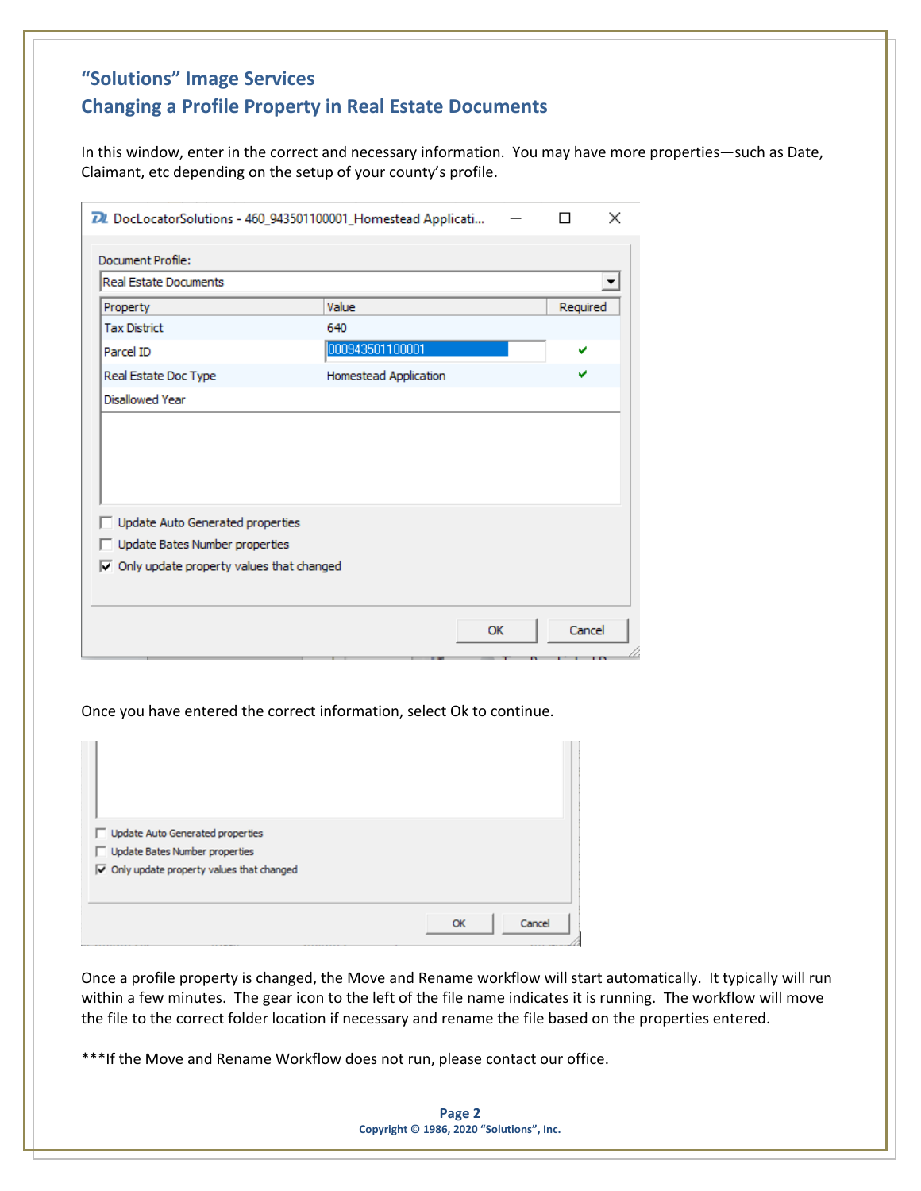# **"Solutions" Image Services Changing a Profile Property in Real Estate Documents**

In this window, enter in the correct and necessary information. You may have more properties—such as Date, Claimant, etc depending on the setup of your county's profile.

| <b>Real Estate Documents</b> |                       |          |
|------------------------------|-----------------------|----------|
| Property                     | Value                 | Required |
| <b>Tax District</b>          | 640                   |          |
| Parcel ID                    | 000943501100001       | u        |
| Real Estate Doc Type         | Homestead Application | v        |
|                              |                       |          |
| Disallowed Year              |                       |          |

Once you have entered the correct information, select Ok to continue.

| Update Auto Generated properties<br>Update Bates Number properties<br>$\overline{\blacktriangledown}$ Only update property values that changed |              |
|------------------------------------------------------------------------------------------------------------------------------------------------|--------------|
|                                                                                                                                                | Cancel<br>OK |

Once a profile property is changed, the Move and Rename workflow will start automatically. It typically will run within a few minutes. The gear icon to the left of the file name indicates it is running. The workflow will move the file to the correct folder location if necessary and rename the file based on the properties entered.

\*\*\*If the Move and Rename Workflow does not run, please contact our office.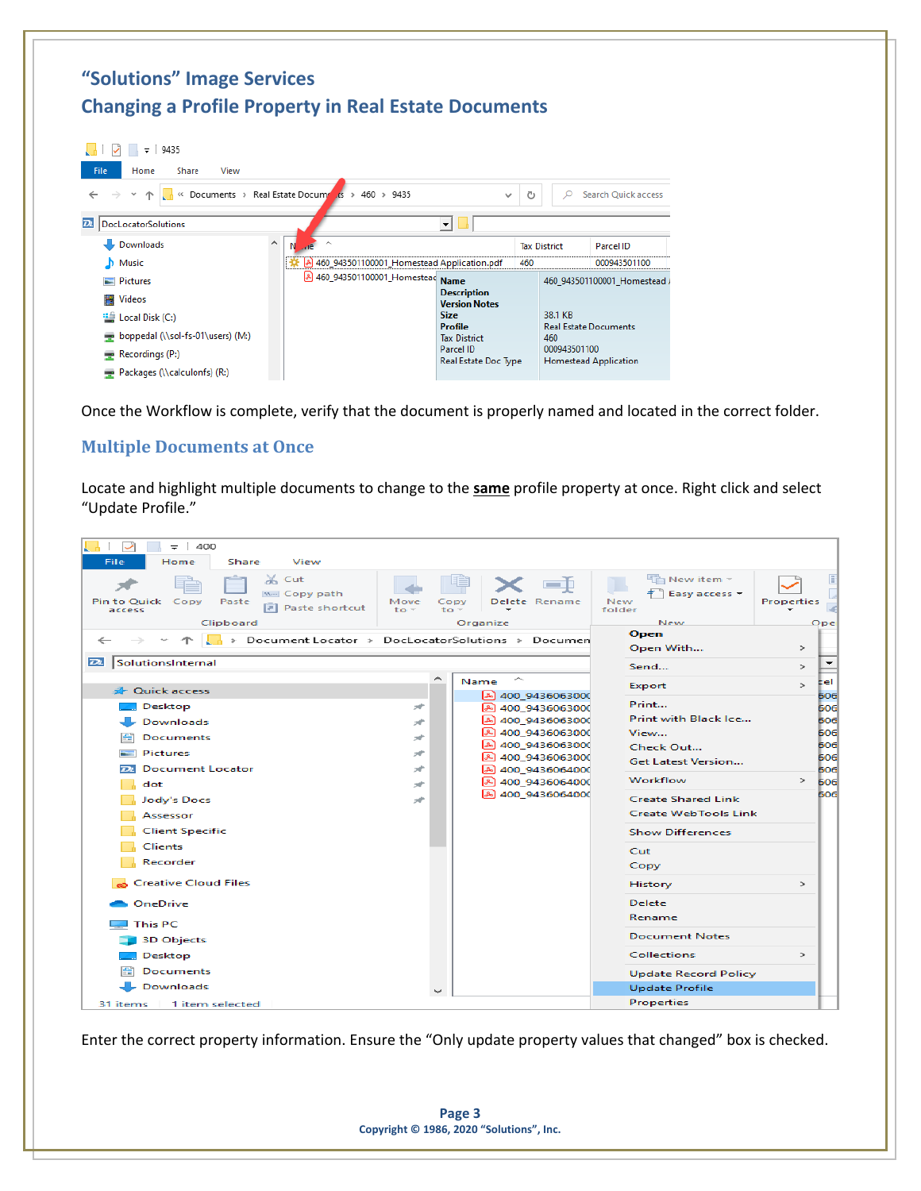#### **"Solutions" Image Services Changing a Profile Property in Real Estate Documents**  $\sqrt{1 + 3}$   $\neq 9435$ Home Share View  $\frac{1}{15}$  > 460 > 9435 → ↑ Cocuments > Real Estate Docume  $\sim$  0 C Search Quick access  $\overline{\mathbf{r}}$   $\overline{\mathbf{r}}$ **D.** DocLocatorSolutions Downloads N **Tax District** Parcel ID 3 460\_943501100001\_Homestead Application.pdf  $M$  Music 460 000943501100 2 460\_943501100001\_Homestead Name 460\_943501100001\_Homestead Pictures **Description** Videos **Version Notes** 38.1 KB **Size** <sup>"</sup> Local Disk (C:) **Profile** Real Estate Documents boppedal (\\sol-fs-01\users) (M:) **Tax District** 460 Parcel ID 000943501100  $\blacksquare$  Recordings (P:) Real Estate Doc Type **Homestead Application** Packages (\\calculonfs) (R:)

Once the Workflow is complete, verify that the document is properly named and located in the correct folder.

#### <span id="page-2-0"></span>**Multiple Documents at Once**

Locate and highlight multiple documents to change to the **same** profile property at once. Right click and select "Update Profile."

| 400<br>$=$<br>File<br>Home<br>Share<br>View                                                                 |                      |                                                                                         |                                                                      |                                                  |
|-------------------------------------------------------------------------------------------------------------|----------------------|-----------------------------------------------------------------------------------------|----------------------------------------------------------------------|--------------------------------------------------|
| $\chi$ Cut<br>w. Copy path<br><b>Pin to Ouick</b><br>Copy<br>Paste<br>Paste shortcut<br>access<br>Clipboard | Move<br>$to -$<br>to | Delete Rename<br>Organize                                                               | New item -<br>Easy access $\tau$<br>New<br>folder<br>New             | <b>Properties</b><br>Ope                         |
| > Document Locator > DocLocatorSolutions > Documen<br>←                                                     |                      |                                                                                         | Open<br>Open With                                                    | $\geq$                                           |
| $\overline{D}$<br>SolutionsInternal                                                                         |                      |                                                                                         | Send                                                                 | $\rightarrow$                                    |
| <b>A</b> Quick access<br>Desktop<br><b>Downloads</b><br><b>Documents</b>                                    | ∼<br>×<br>÷<br>×     | ∼<br>Name<br>400 9436063000<br>2 400 9436063000<br>A 400 9436063000<br>A 400 9436063000 | Export<br>Print<br>Print with Black Ice<br>View                      | Eel<br>$\rightarrow$<br>606<br>606<br>606<br>606 |
| <b>Pictures</b><br><b>Document Locator</b><br>$\overline{\mathbf{D}}$                                       | ÷<br>×               | 2400_9436063000<br>图 400_9436063000<br>图 400_9436064000                                 | Check Out<br><b>Get Latest Version</b>                               | 606<br>606<br>606                                |
| dot<br><b>Jody's Docs</b><br>Assessor                                                                       | ×<br>÷               | 400 9436064000<br>A 400 9436064000                                                      | Workflow<br><b>Create Shared Link</b><br><b>Create WebTools Link</b> | $\rightarrow$<br>606<br>606                      |
| <b>Client Specific</b><br><b>Clients</b><br>Recorder                                                        |                      |                                                                                         | <b>Show Differences</b><br>Cut<br>Copy                               |                                                  |
| <b>Creative Cloud Files</b>                                                                                 |                      |                                                                                         | History                                                              | $\rightarrow$                                    |
| OneDrive<br><b>This PC</b>                                                                                  |                      |                                                                                         | <b>Delete</b><br>Rename                                              |                                                  |
| <b>3D Objects</b>                                                                                           |                      |                                                                                         | <b>Document Notes</b>                                                |                                                  |
| Desktop<br>Documents                                                                                        |                      |                                                                                         | <b>Collections</b><br><b>Update Record Policy</b>                    | $\rightarrow$                                    |
| <b>Downloads</b>                                                                                            |                      |                                                                                         | <b>Update Profile</b>                                                |                                                  |
| 31 items<br>1 item selected                                                                                 |                      |                                                                                         | Properties                                                           |                                                  |

Enter the correct property information. Ensure the "Only update property values that changed" box is checked.

**Page 3 Copyright © 1986, 2020 "Solutions", Inc.**